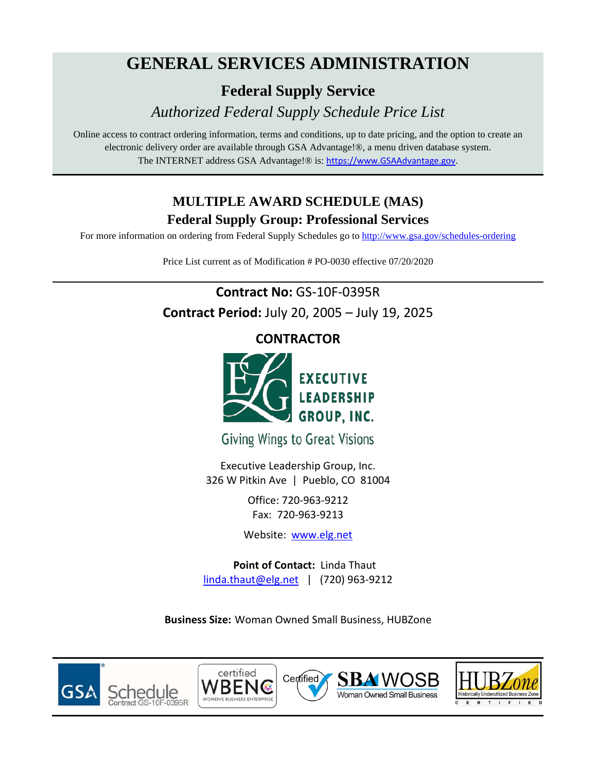# **GENERAL SERVICES ADMINISTRATION**

**Federal Supply Service**

*Authorized Federal Supply Schedule Price List*

Online access to contract ordering information, terms and conditions, up to date pricing, and the option to create an electronic delivery order are available through GSA Advantage!®, a menu driven database system. The INTERNET address GSA Advantage!® is: [https://www.GSAAdvantage.gov](https://www.gsaadvantage.gov/).

## **MULTIPLE AWARD SCHEDULE (MAS) Federal Supply Group: Professional Services**

For more information on ordering from Federal Supply Schedules go to<http://www.gsa.gov/schedules-ordering>

Price List current as of Modification # PO-0030 effective 07/20/2020

## **Contract No:** GS-10F-0395R **Contract Period:** July 20, 2005 – July 19, 2025

**CONTRACTOR**



**Giving Wings to Great Visions** 

Executive Leadership Group, Inc. 326 W Pitkin Ave | Pueblo, CO 81004

> Office: 720-963-9212 Fax: 720-963-9213

Website: [www.elg.net](http://www.elg.net/)

**Point of Contact:** Linda Thaut [linda.thaut@elg.net](mailto:linda.thaut@elg.net) | (720) 963-9212

**Business Size:** Woman Owned Small Business, HUBZone









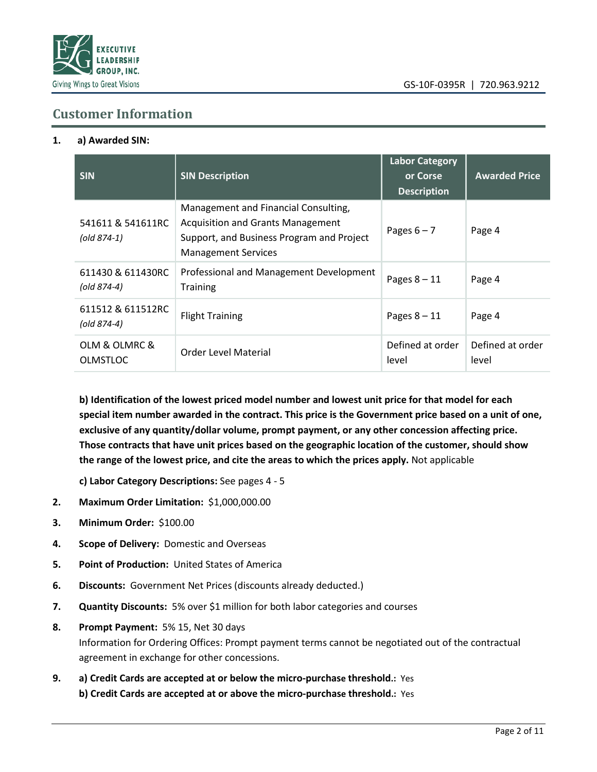

### **Customer Information**

#### **1. a) Awarded SIN:**

| <b>SIN</b>                       | <b>SIN Description</b>                                                                                                                                      | <b>Labor Category</b><br>or Corse<br><b>Description</b> | <b>Awarded Price</b>      |
|----------------------------------|-------------------------------------------------------------------------------------------------------------------------------------------------------------|---------------------------------------------------------|---------------------------|
| 541611 & 541611RC<br>(old 874-1) | Management and Financial Consulting,<br><b>Acquisition and Grants Management</b><br>Support, and Business Program and Project<br><b>Management Services</b> | Pages $6 - 7$                                           | Page 4                    |
| 611430 & 611430RC<br>(old 874-4) | Professional and Management Development<br><b>Training</b>                                                                                                  | Pages $8 - 11$                                          | Page 4                    |
| 611512 & 611512RC<br>(old 874-4) | <b>Flight Training</b>                                                                                                                                      | Pages $8 - 11$                                          | Page 4                    |
| OLM & OLMRC &<br><b>OLMSTLOC</b> | <b>Order Level Material</b>                                                                                                                                 | Defined at order<br>level                               | Defined at order<br>level |

**b) Identification of the lowest priced model number and lowest unit price for that model for each special item number awarded in the contract. This price is the Government price based on a unit of one, exclusive of any quantity/dollar volume, prompt payment, or any other concession affecting price. Those contracts that have unit prices based on the geographic location of the customer, should show the range of the lowest price, and cite the areas to which the prices apply.** Not applicable

**c) Labor Category Descriptions:** See pages 4 - 5

- **2. Maximum Order Limitation:** \$1,000,000.00
- **3. Minimum Order:** \$100.00
- **4. Scope of Delivery:** Domestic and Overseas
- **5. Point of Production:** United States of America
- **6. Discounts:** Government Net Prices (discounts already deducted.)
- **7. Quantity Discounts:** 5% over \$1 million for both labor categories and courses
- **8. Prompt Payment:** 5% 15, Net 30 days Information for Ordering Offices: Prompt payment terms cannot be negotiated out of the contractual agreement in exchange for other concessions.
- **9. a) Credit Cards are accepted at or below the micro-purchase threshold.:** Yes **b) Credit Cards are accepted at or above the micro-purchase threshold.:** Yes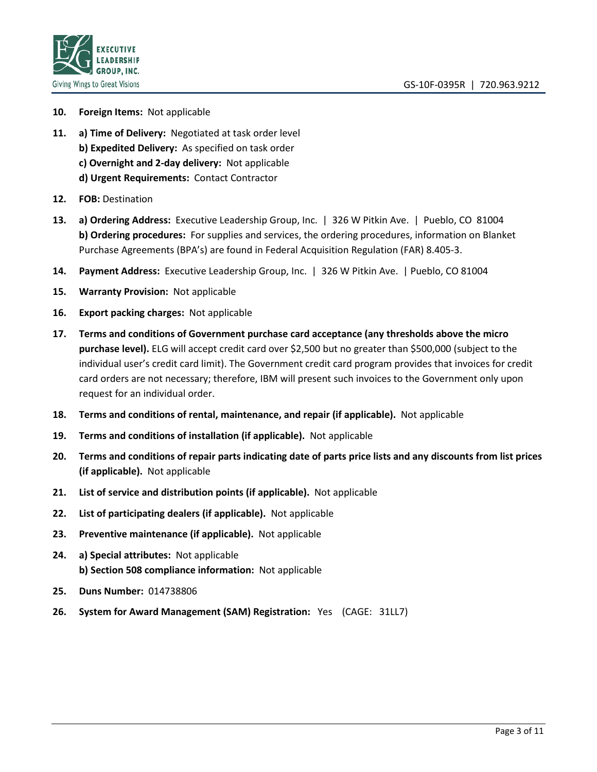

- **10. Foreign Items:** Not applicable
- **11. a) Time of Delivery:** Negotiated at task order level **b) Expedited Delivery:** As specified on task order **c) Overnight and 2-day delivery:** Not applicable **d) Urgent Requirements:** Contact Contractor
- **12. FOB:** Destination
- **13. a) Ordering Address:** Executive Leadership Group, Inc. | 326 W Pitkin Ave. | Pueblo, CO 81004 **b) Ordering procedures:** For supplies and services, the ordering procedures, information on Blanket Purchase Agreements (BPA's) are found in Federal Acquisition Regulation (FAR) 8.405-3.
- **14. Payment Address:** Executive Leadership Group, Inc. | 326 W Pitkin Ave. | Pueblo, CO 81004
- **15. Warranty Provision:** Not applicable
- **16. Export packing charges:** Not applicable
- **17. Terms and conditions of Government purchase card acceptance (any thresholds above the micro purchase level).** ELG will accept credit card over \$2,500 but no greater than \$500,000 (subject to the individual user's credit card limit). The Government credit card program provides that invoices for credit card orders are not necessary; therefore, IBM will present such invoices to the Government only upon request for an individual order.
- **18. Terms and conditions of rental, maintenance, and repair (if applicable).** Not applicable
- **19. Terms and conditions of installation (if applicable).** Not applicable
- **20. Terms and conditions of repair parts indicating date of parts price lists and any discounts from list prices (if applicable).** Not applicable
- **21. List of service and distribution points (if applicable).** Not applicable
- **22. List of participating dealers (if applicable).** Not applicable
- **23. Preventive maintenance (if applicable).** Not applicable
- **24. a) Special attributes:** Not applicable **b) Section 508 compliance information:** Not applicable
- **25. Duns Number:** 014738806
- **26. System for Award Management (SAM) Registration:** Yes (CAGE: 31LL7)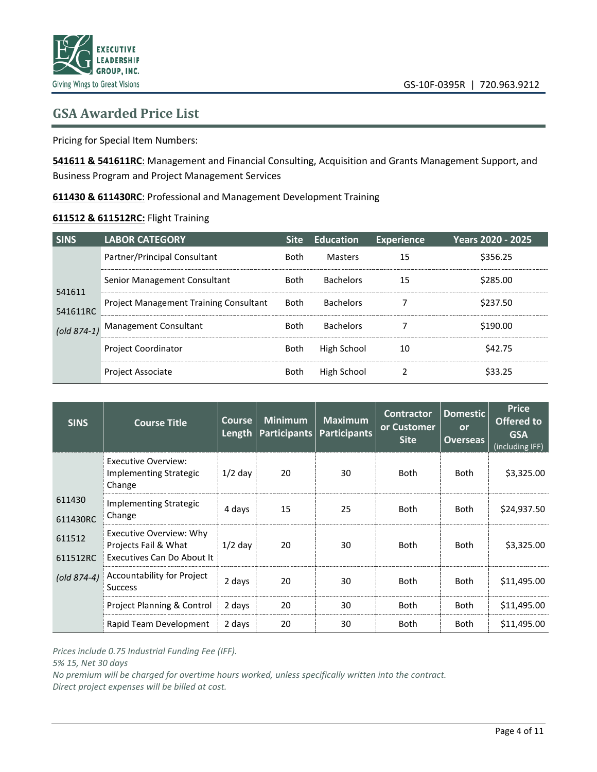### **GSA Awarded Price List**

Pricing for Special Item Numbers:

**541611 & 541611RC**: Management and Financial Consulting, Acquisition and Grants Management Support, and Business Program and Project Management Services

**611430 & 611430RC**: Professional and Management [Development](https://www.naics.com/naics-code-description/?code=611430) Training

#### **611512 & 611512RC:** Flight Training

| <b>SINS</b>        | LABOR CATEGORY                                |             | Site Education   | <b>Experience</b> | Years 2020 - 2025 |
|--------------------|-----------------------------------------------|-------------|------------------|-------------------|-------------------|
|                    | Partner/Principal Consultant                  | <b>Both</b> | Masters          | 15                | \$356.25          |
|                    | Senior Management Consultant                  | Both        | <b>Bachelors</b> | 15                | \$285.00          |
| 541611<br>541611RC | <b>Project Management Training Consultant</b> | Both        | <b>Bachelors</b> |                   | \$237.50          |
|                    | (old 874-1) Management Consultant             | <b>Both</b> | <b>Bachelors</b> |                   | \$190.00          |
|                    | <b>Project Coordinator</b>                    | Both        | High School      | 10                | \$42.75           |
|                    | <b>Project Associate</b>                      | Both        | High School      |                   |                   |

| <b>SINS</b>         | <b>Course Title</b>                                                           | <b>Course</b><br>Length | <b>Minimum</b><br><b>Participants</b> | <b>Maximum</b><br><b>Participants</b> | <b>Contractor</b><br>or Customer<br><b>Site</b> | <b>Domestic</b><br>or<br><b>Overseas</b> | <b>Price</b><br>Offered to<br><b>GSA</b><br>(including IFF) |
|---------------------|-------------------------------------------------------------------------------|-------------------------|---------------------------------------|---------------------------------------|-------------------------------------------------|------------------------------------------|-------------------------------------------------------------|
|                     | <b>Executive Overview:</b><br>Implementing Strategic<br>Change                | $1/2$ day               | 20                                    | 30                                    | <b>Both</b>                                     | Both                                     | \$3,325.00                                                  |
| 611430<br>611430RC  | Implementing Strategic<br>Change                                              | 4 days                  | 15                                    | 25                                    | <b>Both</b>                                     | <b>Both</b>                              | \$24,937.50                                                 |
| 611512<br>611512RC  | Executive Overview: Why<br>Projects Fail & What<br>Executives Can Do About It | $1/2$ day               | 20                                    | 30                                    | <b>Both</b>                                     | <b>Both</b>                              | \$3,325.00                                                  |
| $\left($ old 874-4) | Accountability for Project<br><b>Success</b>                                  | 2 days                  | 20                                    | 30                                    | <b>Both</b>                                     | <b>Both</b>                              | \$11,495.00                                                 |
|                     | Project Planning & Control                                                    | 2 days                  | 20                                    | 30                                    | <b>Both</b>                                     | <b>Both</b>                              | \$11,495.00                                                 |
|                     | Rapid Team Development                                                        | 2 days                  | 20                                    | 30                                    | <b>Both</b>                                     | <b>Both</b>                              | \$11,495.00                                                 |

*Prices include 0.75 Industrial Funding Fee (IFF).*

*5% 15, Net 30 days*

*No premium will be charged for overtime hours worked, unless specifically written into the contract. Direct project expenses will be billed at cost.*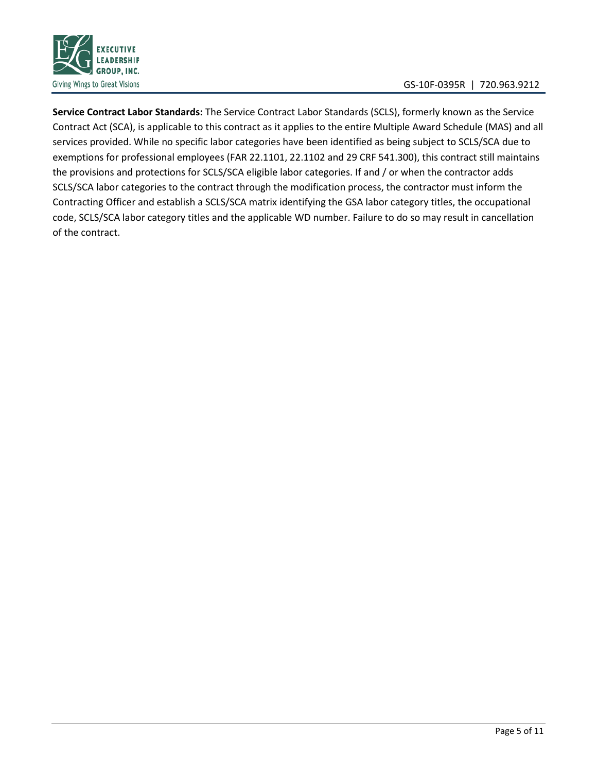

**Service Contract Labor Standards:** The Service Contract Labor Standards (SCLS), formerly known as the Service Contract Act (SCA), is applicable to this contract as it applies to the entire Multiple Award Schedule (MAS) and all services provided. While no specific labor categories have been identified as being subject to SCLS/SCA due to exemptions for professional employees (FAR 22.1101, 22.1102 and 29 CRF 541.300), this contract still maintains the provisions and protections for SCLS/SCA eligible labor categories. If and / or when the contractor adds SCLS/SCA labor categories to the contract through the modification process, the contractor must inform the Contracting Officer and establish a SCLS/SCA matrix identifying the GSA labor category titles, the occupational code, SCLS/SCA labor category titles and the applicable WD number. Failure to do so may result in cancellation of the contract.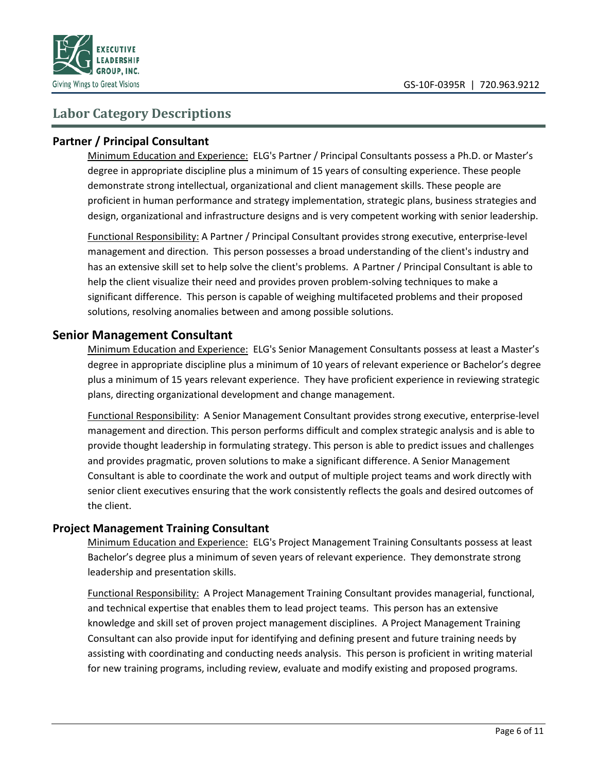

### **Labor Category Descriptions**

#### **Partner / Principal Consultant**

Minimum Education and Experience: ELG's Partner / Principal Consultants possess a Ph.D. or Master's degree in appropriate discipline plus a minimum of 15 years of consulting experience. These people demonstrate strong intellectual, organizational and client management skills. These people are proficient in human performance and strategy implementation, strategic plans, business strategies and design, organizational and infrastructure designs and is very competent working with senior leadership.

Functional Responsibility: A Partner / Principal Consultant provides strong executive, enterprise-level management and direction. This person possesses a broad understanding of the client's industry and has an extensive skill set to help solve the client's problems. A Partner / Principal Consultant is able to help the client visualize their need and provides proven problem-solving techniques to make a significant difference. This person is capable of weighing multifaceted problems and their proposed solutions, resolving anomalies between and among possible solutions.

#### **Senior Management Consultant**

Minimum Education and Experience: ELG's Senior Management Consultants possess at least a Master's degree in appropriate discipline plus a minimum of 10 years of relevant experience or Bachelor's degree plus a minimum of 15 years relevant experience. They have proficient experience in reviewing strategic plans, directing organizational development and change management.

Functional Responsibility: A Senior Management Consultant provides strong executive, enterprise-level management and direction. This person performs difficult and complex strategic analysis and is able to provide thought leadership in formulating strategy. This person is able to predict issues and challenges and provides pragmatic, proven solutions to make a significant difference. A Senior Management Consultant is able to coordinate the work and output of multiple project teams and work directly with senior client executives ensuring that the work consistently reflects the goals and desired outcomes of the client.

#### **Project Management Training Consultant**

Minimum Education and Experience: ELG's Project Management Training Consultants possess at least Bachelor's degree plus a minimum of seven years of relevant experience. They demonstrate strong leadership and presentation skills.

Functional Responsibility: A Project Management Training Consultant provides managerial, functional, and technical expertise that enables them to lead project teams. This person has an extensive knowledge and skill set of proven project management disciplines. A Project Management Training Consultant can also provide input for identifying and defining present and future training needs by assisting with coordinating and conducting needs analysis. This person is proficient in writing material for new training programs, including review, evaluate and modify existing and proposed programs.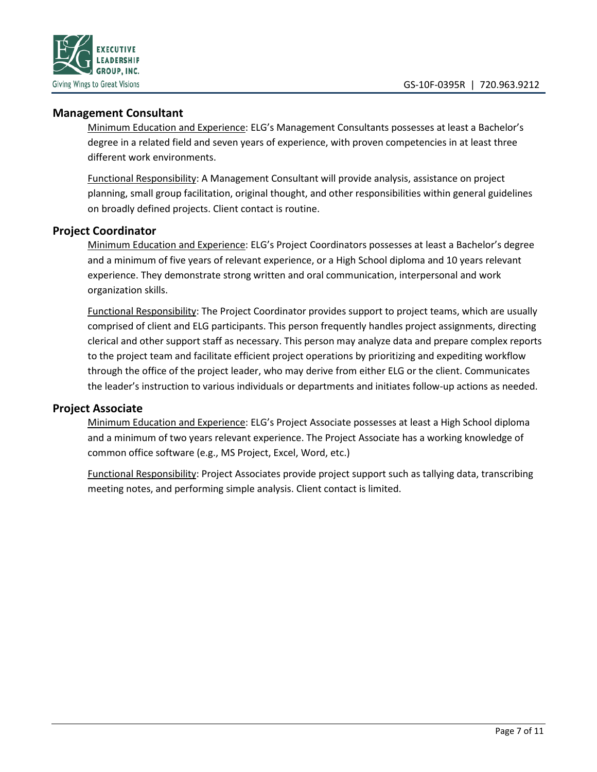

#### **Management Consultant**

Minimum Education and Experience: ELG's Management Consultants possesses at least a Bachelor's degree in a related field and seven years of experience, with proven competencies in at least three different work environments.

Functional Responsibility: A Management Consultant will provide analysis, assistance on project planning, small group facilitation, original thought, and other responsibilities within general guidelines on broadly defined projects. Client contact is routine.

#### **Project Coordinator**

Minimum Education and Experience: ELG's Project Coordinators possesses at least a Bachelor's degree and a minimum of five years of relevant experience, or a High School diploma and 10 years relevant experience. They demonstrate strong written and oral communication, interpersonal and work organization skills.

Functional Responsibility: The Project Coordinator provides support to project teams, which are usually comprised of client and ELG participants. This person frequently handles project assignments, directing clerical and other support staff as necessary. This person may analyze data and prepare complex reports to the project team and facilitate efficient project operations by prioritizing and expediting workflow through the office of the project leader, who may derive from either ELG or the client. Communicates the leader's instruction to various individuals or departments and initiates follow-up actions as needed.

#### **Project Associate**

Minimum Education and Experience: ELG's Project Associate possesses at least a High School diploma and a minimum of two years relevant experience. The Project Associate has a working knowledge of common office software (e.g., MS Project, Excel, Word, etc.)

Functional Responsibility: Project Associates provide project support such as tallying data, transcribing meeting notes, and performing simple analysis. Client contact is limited.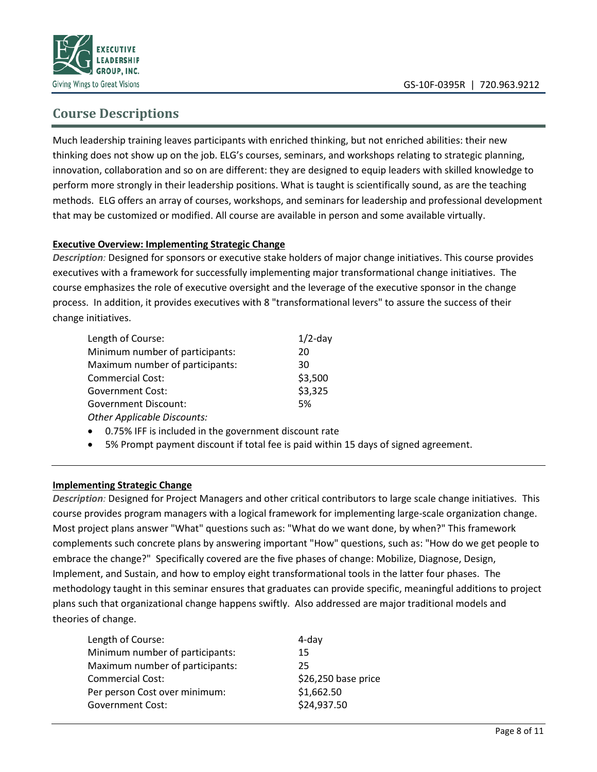

## **Course Descriptions**

Much leadership training leaves participants with enriched thinking, but not enriched abilities: their new thinking does not show up on the job. ELG's courses, seminars, and workshops relating to strategic planning, innovation, collaboration and so on are different: they are designed to equip leaders with skilled knowledge to perform more strongly in their leadership positions. What is taught is scientifically sound, as are the teaching methods. ELG offers an array of courses, workshops, and seminars for leadership and professional development that may be customized or modified. All course are available in person and some available virtually.

#### **Executive Overview: Implementing Strategic Change**

*Description:* Designed for sponsors or executive stake holders of major change initiatives. This course provides executives with a framework for successfully implementing major transformational change initiatives. The course emphasizes the role of executive oversight and the leverage of the executive sponsor in the change process. In addition, it provides executives with 8 "transformational levers" to assure the success of their change initiatives.

| Length of Course:                  | $1/2$ -day |
|------------------------------------|------------|
| Minimum number of participants:    | 20         |
| Maximum number of participants:    | 30         |
| <b>Commercial Cost:</b>            | \$3,500    |
| Government Cost:                   | \$3,325    |
| <b>Government Discount:</b>        | .5%        |
| <b>Other Applicable Discounts:</b> |            |

- 0.75% IFF is included in the government discount rate
- 5% Prompt payment discount if total fee is paid within 15 days of signed agreement.

#### **Implementing Strategic Change**

*Description:* Designed for Project Managers and other critical contributors to large scale change initiatives. This course provides program managers with a logical framework for implementing large-scale organization change. Most project plans answer "What" questions such as: "What do we want done, by when?" This framework complements such concrete plans by answering important "How" questions, such as: "How do we get people to embrace the change?" Specifically covered are the five phases of change: Mobilize, Diagnose, Design, Implement, and Sustain, and how to employ eight transformational tools in the latter four phases. The methodology taught in this seminar ensures that graduates can provide specific, meaningful additions to project plans such that organizational change happens swiftly. Also addressed are major traditional models and theories of change.

| Length of Course:               | 4-day               |
|---------------------------------|---------------------|
| Minimum number of participants: | 15                  |
| Maximum number of participants: | 25                  |
| <b>Commercial Cost:</b>         | \$26,250 base price |
| Per person Cost over minimum:   | \$1,662.50          |
| <b>Government Cost:</b>         | \$24,937.50         |
|                                 |                     |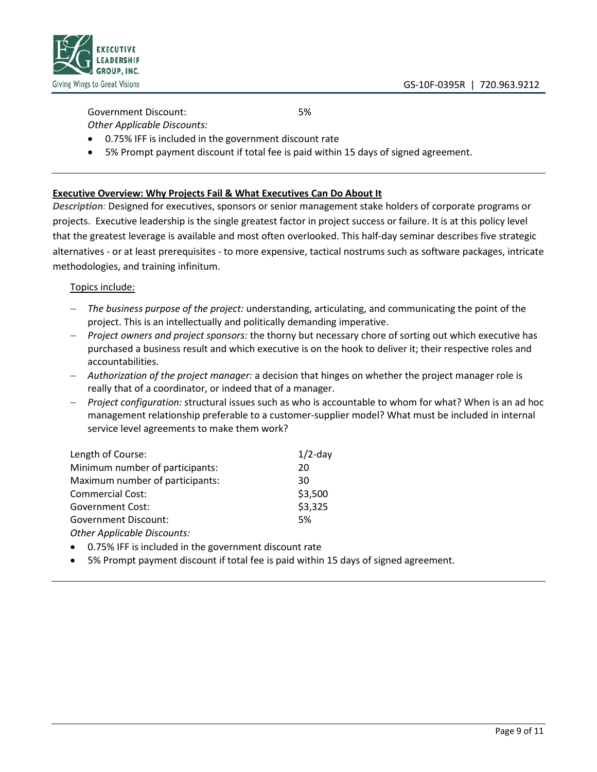

## Government Discount: 5%

- *Other Applicable Discounts:*
- 0.75% IFF is included in the government discount rate
- 5% Prompt payment discount if total fee is paid within 15 days of signed agreement.

#### **Executive Overview: Why Projects Fail & What Executives Can Do About It**

*Description:* Designed for executives, sponsors or senior management stake holders of corporate programs or projects. Executive leadership is the single greatest factor in project success or failure. It is at this policy level that the greatest leverage is available and most often overlooked. This half-day seminar describes five strategic alternatives - or at least prerequisites - to more expensive, tactical nostrums such as software packages, intricate methodologies, and training infinitum.

#### Topics include:

- − *The business purpose of the project:* understanding, articulating, and communicating the point of the project. This is an intellectually and politically demanding imperative.
- − *Project owners and project sponsors:* the thorny but necessary chore of sorting out which executive has purchased a business result and which executive is on the hook to deliver it; their respective roles and accountabilities.
- − *Authorization of the project manager:* a decision that hinges on whether the project manager role is really that of a coordinator, or indeed that of a manager.
- − *Project configuration:* structural issues such as who is accountable to whom for what? When is an ad hoc management relationship preferable to a customer-supplier model? What must be included in internal service level agreements to make them work?

| Length of Course:               | $1/2$ -day |
|---------------------------------|------------|
| Minimum number of participants: | 20         |
| Maximum number of participants: | 30         |
| <b>Commercial Cost:</b>         | \$3,500    |
| <b>Government Cost:</b>         | \$3,325    |
| <b>Government Discount:</b>     | .5%        |
| Other Amplicately Dissounts:    |            |

*Other Applicable Discounts:*

- 0.75% IFF is included in the government discount rate
- 5% Prompt payment discount if total fee is paid within 15 days of signed agreement.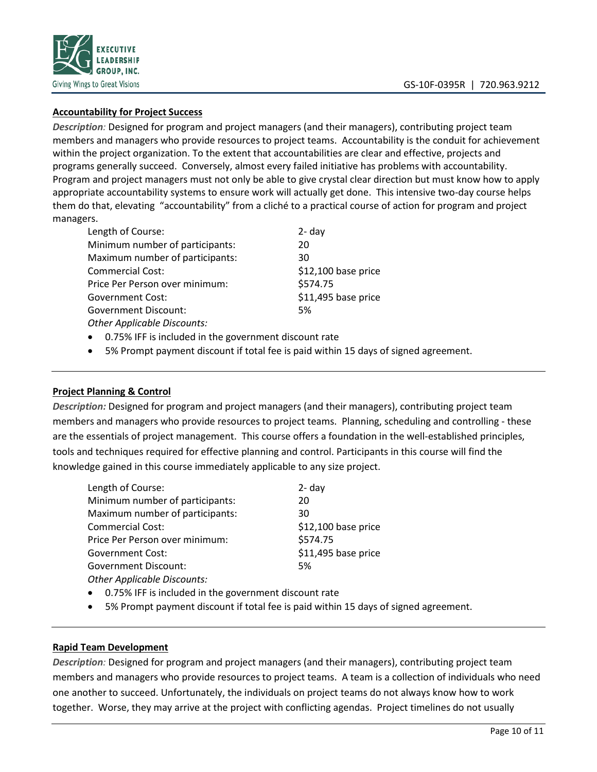

#### **Accountability for Project Success**

*Description:* Designed for program and project managers (and their managers), contributing project team members and managers who provide resources to project teams. Accountability is the conduit for achievement within the project organization. To the extent that accountabilities are clear and effective, projects and programs generally succeed. Conversely, almost every failed initiative has problems with accountability. Program and project managers must not only be able to give crystal clear direction but must know how to apply appropriate accountability systems to ensure work will actually get done. This intensive two-day course helps them do that, elevating "accountability" from a cliché to a practical course of action for program and project managers.

| Length of Course:                  | $2 - day$           |
|------------------------------------|---------------------|
| Minimum number of participants:    | 20                  |
| Maximum number of participants:    | 30                  |
| <b>Commercial Cost:</b>            | \$12,100 base price |
| Price Per Person over minimum:     | \$574.75            |
| <b>Government Cost:</b>            | \$11,495 base price |
| <b>Government Discount:</b>        | 5%                  |
| <b>Other Applicable Discounts:</b> |                     |

- 0.75% IFF is included in the government discount rate
- 5% Prompt payment discount if total fee is paid within 15 days of signed agreement.

#### **Project Planning & Control**

*Description:* Designed for program and project managers (and their managers), contributing project team members and managers who provide resources to project teams. Planning, scheduling and controlling - these are the essentials of project management. This course offers a foundation in the well-established principles, tools and techniques required for effective planning and control. Participants in this course will find the knowledge gained in this course immediately applicable to any size project.

| Length of Course:               | $2 - day$           |  |
|---------------------------------|---------------------|--|
| Minimum number of participants: | 20                  |  |
| Maximum number of participants: | 30                  |  |
| <b>Commercial Cost:</b>         | \$12,100 base price |  |
| Price Per Person over minimum:  | \$574.75            |  |
| <b>Government Cost:</b>         | \$11,495 base price |  |
| <b>Government Discount:</b>     | 5%                  |  |
| Other Annlicable Discounts:     |                     |  |

*Other Applicable Discounts:*

- 0.75% IFF is included in the government discount rate
- 5% Prompt payment discount if total fee is paid within 15 days of signed agreement.

#### **Rapid Team Development**

*Description:* Designed for program and project managers (and their managers), contributing project team members and managers who provide resources to project teams. A team is a collection of individuals who need one another to succeed. Unfortunately, the individuals on project teams do not always know how to work together. Worse, they may arrive at the project with conflicting agendas. Project timelines do not usually